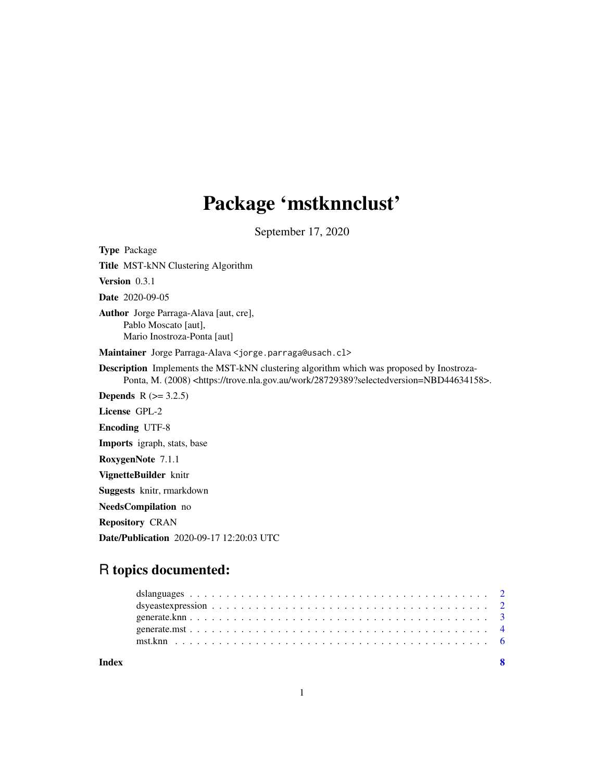# Package 'mstknnclust'

September 17, 2020

Type Package Title MST-kNN Clustering Algorithm Version 0.3.1 Date 2020-09-05 Author Jorge Parraga-Alava [aut, cre], Pablo Moscato [aut], Mario Inostroza-Ponta [aut] Maintainer Jorge Parraga-Alava <jorge.parraga@usach.cl> Description Implements the MST-kNN clustering algorithm which was proposed by Inostroza-Ponta, M. (2008) <https://trove.nla.gov.au/work/28729389?selectedversion=NBD44634158>. **Depends** R  $(>= 3.2.5)$ License GPL-2 Encoding UTF-8 Imports igraph, stats, base RoxygenNote 7.1.1 VignetteBuilder knitr Suggests knitr, rmarkdown NeedsCompilation no Repository CRAN Date/Publication 2020-09-17 12:20:03 UTC

# R topics documented:

| Index |  |
|-------|--|
|       |  |
|       |  |
|       |  |
|       |  |
|       |  |

1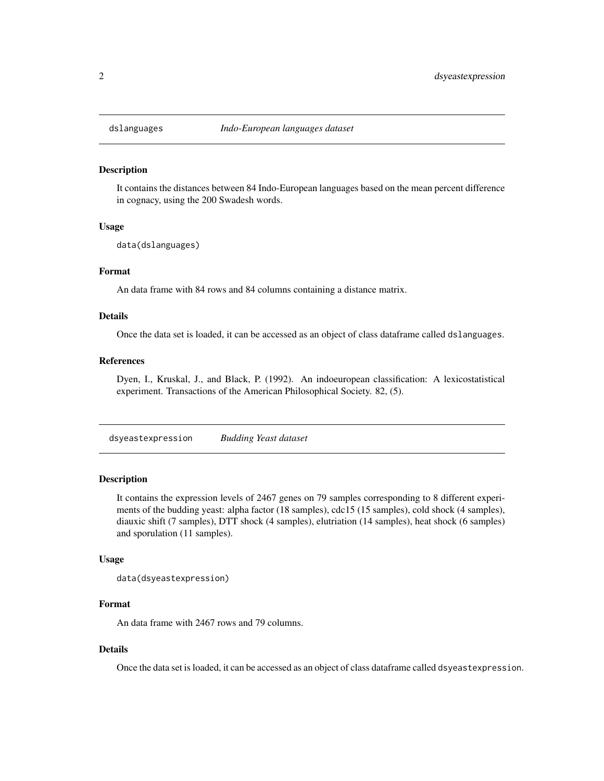<span id="page-1-0"></span>

#### Description

It contains the distances between 84 Indo-European languages based on the mean percent difference in cognacy, using the 200 Swadesh words.

#### Usage

data(dslanguages)

# Format

An data frame with 84 rows and 84 columns containing a distance matrix.

# Details

Once the data set is loaded, it can be accessed as an object of class dataframe called dslanguages.

# References

Dyen, I., Kruskal, J., and Black, P. (1992). An indoeuropean classification: A lexicostatistical experiment. Transactions of the American Philosophical Society. 82, (5).

dsyeastexpression *Budding Yeast dataset*

#### Description

It contains the expression levels of 2467 genes on 79 samples corresponding to 8 different experiments of the budding yeast: alpha factor (18 samples), cdc15 (15 samples), cold shock (4 samples), diauxic shift (7 samples), DTT shock (4 samples), elutriation (14 samples), heat shock (6 samples) and sporulation (11 samples).

### Usage

```
data(dsyeastexpression)
```
# Format

An data frame with 2467 rows and 79 columns.

# Details

Once the data set is loaded, it can be accessed as an object of class dataframe called dsyeastexpression.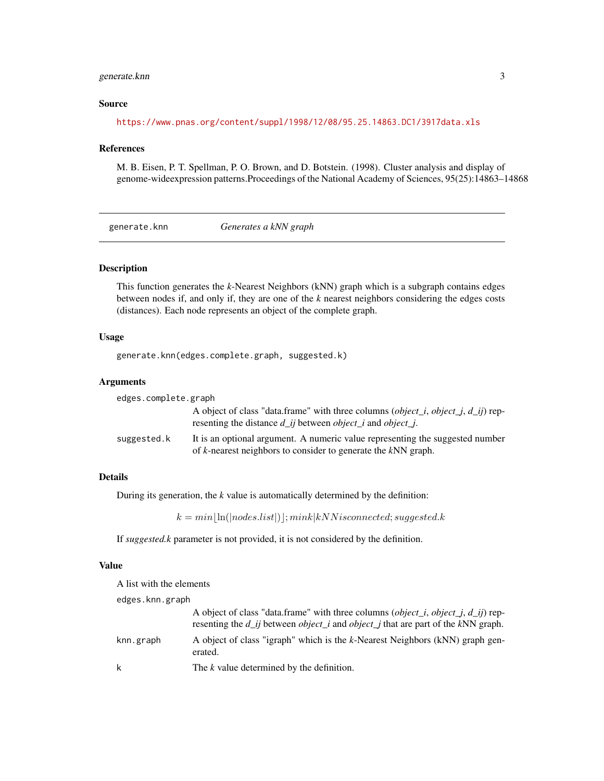# <span id="page-2-0"></span>generate.knn 3

# Source

<https://www.pnas.org/content/suppl/1998/12/08/95.25.14863.DC1/3917data.xls>

#### References

M. B. Eisen, P. T. Spellman, P. O. Brown, and D. Botstein. (1998). Cluster analysis and display of genome-wideexpression patterns.Proceedings of the National Academy of Sciences, 95(25):14863–14868

generate.knn *Generates a kNN graph*

# Description

This function generates the *k*-Nearest Neighbors (kNN) graph which is a subgraph contains edges between nodes if, and only if, they are one of the *k* nearest neighbors considering the edges costs (distances). Each node represents an object of the complete graph.

# Usage

generate.knn(edges.complete.graph, suggested.k)

# Arguments

| edges.complete.graph |                                                                                                                                                                             |
|----------------------|-----------------------------------------------------------------------------------------------------------------------------------------------------------------------------|
|                      | A object of class "data.frame" with three columns ( <i>object_i, object_j, d_ij</i> ) rep-<br>resenting the distance $d_{ij}$ between <i>object_i</i> and <i>object_j</i> . |
| suggested.k          | It is an optional argument. A numeric value representing the suggested number<br>of k-nearest neighbors to consider to generate the kNN graph.                              |

# Details

During its generation, the *k* value is automatically determined by the definition:

 $k = min|\ln(|nodes_list|)|; mink|kNN is connected; suggested.k$ 

If *suggested.k* parameter is not provided, it is not considered by the definition.

# Value

A list with the elements

edges.knn.graph

|           | A object of class "data.frame" with three columns ( <i>object_i, object_j, d_ij</i> ) rep-<br>resenting the $d_i$ is between <i>object</i> i and <i>object</i> j that are part of the kNN graph. |
|-----------|--------------------------------------------------------------------------------------------------------------------------------------------------------------------------------------------------|
| knn.graph | A object of class "igraph" which is the k-Nearest Neighbors (kNN) graph gen-<br>erated.                                                                                                          |
| k         | The k value determined by the definition.                                                                                                                                                        |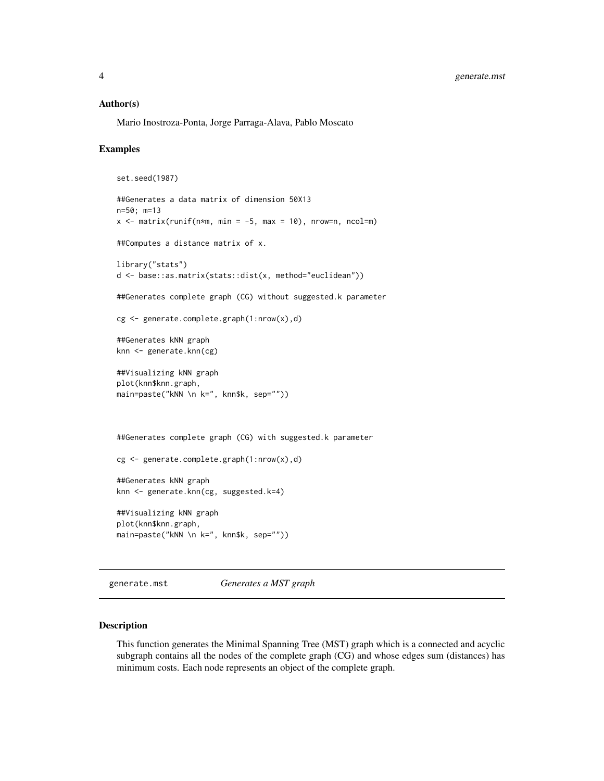#### <span id="page-3-0"></span>Author(s)

Mario Inostroza-Ponta, Jorge Parraga-Alava, Pablo Moscato

#### Examples

```
set.seed(1987)
##Generates a data matrix of dimension 50X13
n=50; m=13
x \le - matrix(runif(n*m, min = -5, max = 10), nrow=n, ncol=m)
##Computes a distance matrix of x.
library("stats")
d <- base::as.matrix(stats::dist(x, method="euclidean"))
##Generates complete graph (CG) without suggested.k parameter
cg <- generate.complete.graph(1:nrow(x),d)
##Generates kNN graph
knn <- generate.knn(cg)
##Visualizing kNN graph
plot(knn$knn.graph,
main=paste("kNN \n k=", knn$k, sep=""))
##Generates complete graph (CG) with suggested.k parameter
cg <- generate.complete.graph(1:nrow(x),d)
##Generates kNN graph
knn <- generate.knn(cg, suggested.k=4)
##Visualizing kNN graph
plot(knn$knn.graph,
main=paste("kNN \n k=", knn$k, sep=""))
```
generate.mst *Generates a MST graph*

# Description

This function generates the Minimal Spanning Tree (MST) graph which is a connected and acyclic subgraph contains all the nodes of the complete graph (CG) and whose edges sum (distances) has minimum costs. Each node represents an object of the complete graph.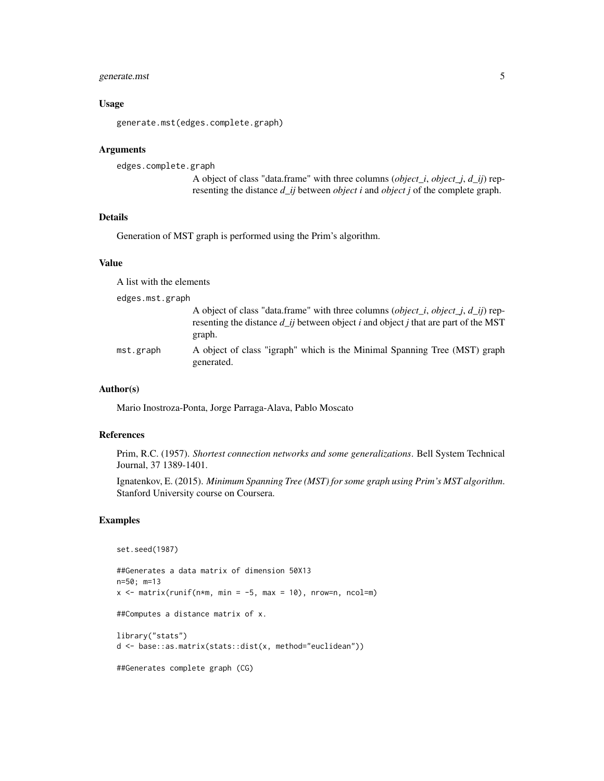# generate.mst 5

# Usage

generate.mst(edges.complete.graph)

## Arguments

edges.complete.graph

A object of class "data.frame" with three columns (*object\_i*, *object\_j*, *d\_ij*) representing the distance *d\_ij* between *object i* and *object j* of the complete graph.

# Details

Generation of MST graph is performed using the Prim's algorithm.

#### Value

A list with the elements

edges.mst.graph

|           | A object of class "data.frame" with three columns ( <i>object_i, object_j, d_ij</i> ) rep-<br>resenting the distance d ij between object i and object j that are part of the MST<br>graph. |
|-----------|--------------------------------------------------------------------------------------------------------------------------------------------------------------------------------------------|
| mst.graph | A object of class "igraph" which is the Minimal Spanning Tree (MST) graph<br>generated.                                                                                                    |

# Author(s)

Mario Inostroza-Ponta, Jorge Parraga-Alava, Pablo Moscato

#### References

Prim, R.C. (1957). *Shortest connection networks and some generalizations*. Bell System Technical Journal, 37 1389-1401.

Ignatenkov, E. (2015). *Minimum Spanning Tree (MST) for some graph using Prim's MST algorithm*. Stanford University course on Coursera.

# Examples

```
set.seed(1987)
```
##Generates a data matrix of dimension 50X13 n=50; m=13  $x \le -$  matrix(runif(n\*m, min = -5, max = 10), nrow=n, ncol=m) ##Computes a distance matrix of x. library("stats") d <- base::as.matrix(stats::dist(x, method="euclidean")) ##Generates complete graph (CG)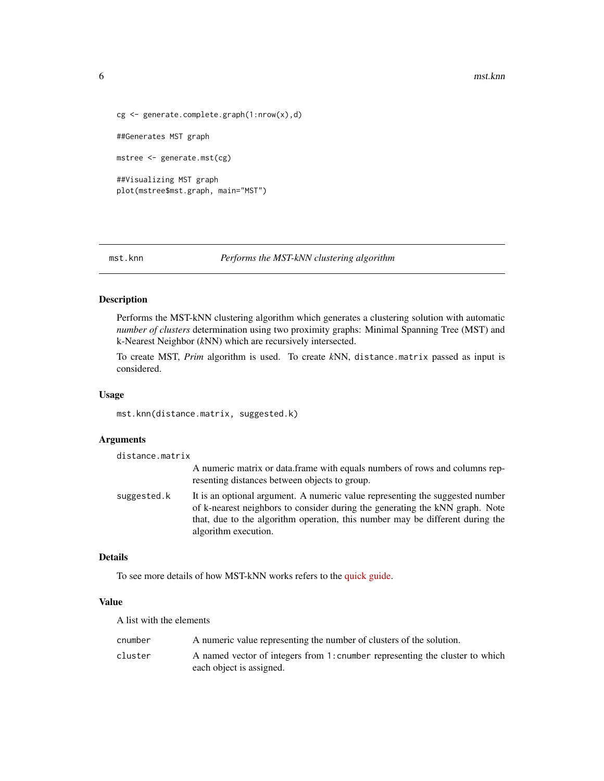#### <span id="page-5-0"></span>6 mst.knn

```
cg <- generate.complete.graph(1:nrow(x),d)
##Generates MST graph
mstree <- generate.mst(cg)
##Visualizing MST graph
plot(mstree$mst.graph, main="MST")
```

```
mst.knn Performs the MST-kNN clustering algorithm
```
# Description

Performs the MST-kNN clustering algorithm which generates a clustering solution with automatic *number of clusters* determination using two proximity graphs: Minimal Spanning Tree (MST) and k-Nearest Neighbor (*k*NN) which are recursively intersected.

To create MST, *Prim* algorithm is used. To create *k*NN, distance.matrix passed as input is considered.

#### Usage

mst.knn(distance.matrix, suggested.k)

# Arguments

| distance.matrix |                                                                                                                                                                                                                                                                        |
|-----------------|------------------------------------------------------------------------------------------------------------------------------------------------------------------------------------------------------------------------------------------------------------------------|
|                 | A numeric matrix or data. frame with equals numbers of rows and columns rep-<br>resenting distances between objects to group.                                                                                                                                          |
| suggested.k     | It is an optional argument. A numeric value representing the suggested number<br>of k-nearest neighbors to consider during the generating the kNN graph. Note<br>that, due to the algorithm operation, this number may be different during the<br>algorithm execution. |

#### Details

To see more details of how MST-kNN works refers to the [quick guide.](../doc/guide.html)

# Value

A list with the elements

| cnumber | A numeric value representing the number of clusters of the solution.         |
|---------|------------------------------------------------------------------------------|
| cluster | A named vector of integers from 1: cnumber representing the cluster to which |
|         | each object is assigned.                                                     |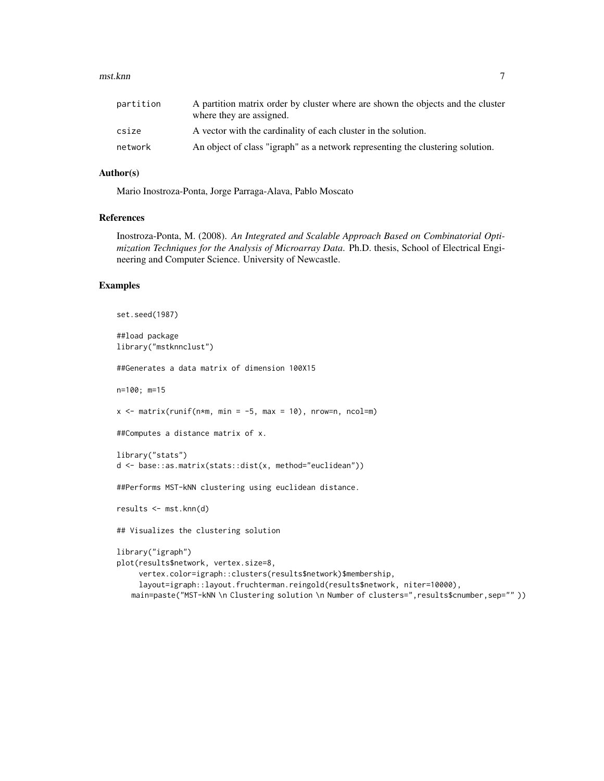#### mst.knn **7**

| partition | A partition matrix order by cluster where are shown the objects and the cluster<br>where they are assigned. |
|-----------|-------------------------------------------------------------------------------------------------------------|
| csize     | A vector with the cardinality of each cluster in the solution.                                              |
| network   | An object of class "igraph" as a network representing the clustering solution.                              |

# Author(s)

Mario Inostroza-Ponta, Jorge Parraga-Alava, Pablo Moscato

# References

Inostroza-Ponta, M. (2008). *An Integrated and Scalable Approach Based on Combinatorial Optimization Techniques for the Analysis of Microarray Data*. Ph.D. thesis, School of Electrical Engineering and Computer Science. University of Newcastle.

## Examples

```
set.seed(1987)
##load package
library("mstknnclust")
##Generates a data matrix of dimension 100X15
n=100; m=15
x \le - matrix(runif(n*m, min = -5, max = 10), nrow=n, ncol=m)
##Computes a distance matrix of x.
library("stats")
d <- base::as.matrix(stats::dist(x, method="euclidean"))
##Performs MST-kNN clustering using euclidean distance.
results <- mst.knn(d)
## Visualizes the clustering solution
library("igraph")
plot(results$network, vertex.size=8,
     vertex.color=igraph::clusters(results$network)$membership,
     layout=igraph::layout.fruchterman.reingold(results$network, niter=10000),
   main=paste("MST-kNN \n Clustering solution \n Number of clusters=", results$cnumber, sep="" ))
```